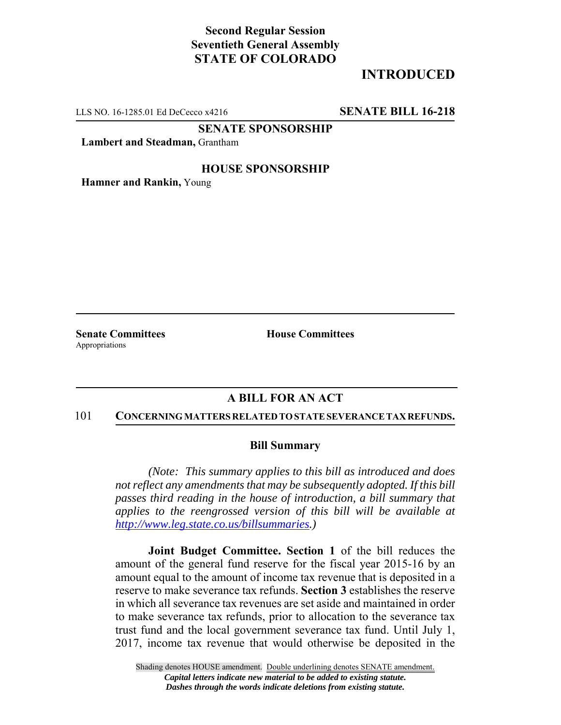# **Second Regular Session Seventieth General Assembly STATE OF COLORADO**

# **INTRODUCED**

LLS NO. 16-1285.01 Ed DeCecco x4216 **SENATE BILL 16-218**

**SENATE SPONSORSHIP**

**Lambert and Steadman,** Grantham

## **HOUSE SPONSORSHIP**

**Hamner and Rankin,** Young

Appropriations

**Senate Committees House Committees** 

## **A BILL FOR AN ACT**

#### 101 **CONCERNING MATTERS RELATED TO STATE SEVERANCE TAX REFUNDS.**

### **Bill Summary**

*(Note: This summary applies to this bill as introduced and does not reflect any amendments that may be subsequently adopted. If this bill passes third reading in the house of introduction, a bill summary that applies to the reengrossed version of this bill will be available at http://www.leg.state.co.us/billsummaries.)*

**Joint Budget Committee. Section 1** of the bill reduces the amount of the general fund reserve for the fiscal year 2015-16 by an amount equal to the amount of income tax revenue that is deposited in a reserve to make severance tax refunds. **Section 3** establishes the reserve in which all severance tax revenues are set aside and maintained in order to make severance tax refunds, prior to allocation to the severance tax trust fund and the local government severance tax fund. Until July 1, 2017, income tax revenue that would otherwise be deposited in the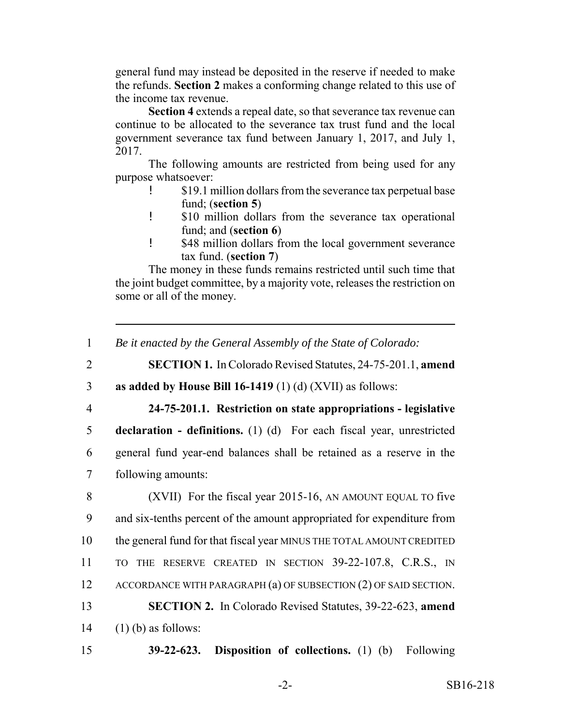general fund may instead be deposited in the reserve if needed to make the refunds. **Section 2** makes a conforming change related to this use of the income tax revenue.

**Section 4** extends a repeal date, so that severance tax revenue can continue to be allocated to the severance tax trust fund and the local government severance tax fund between January 1, 2017, and July 1, 2017.

The following amounts are restricted from being used for any purpose whatsoever:

- \$19.1 million dollars from the severance tax perpetual base fund; (**section 5**)
- ! \$10 million dollars from the severance tax operational fund; and (**section 6**)
- ! \$48 million dollars from the local government severance tax fund. (**section 7**)

The money in these funds remains restricted until such time that the joint budget committee, by a majority vote, releases the restriction on some or all of the money.

- 2 **SECTION 1.** In Colorado Revised Statutes, 24-75-201.1, **amend**
- 3 **as added by House Bill 16-1419** (1) (d) (XVII) as follows:
- 

4 **24-75-201.1. Restriction on state appropriations - legislative**

5 **declaration - definitions.** (1) (d) For each fiscal year, unrestricted 6 general fund year-end balances shall be retained as a reserve in the 7 following amounts:

8 (XVII) For the fiscal year 2015-16, AN AMOUNT EQUAL TO five and six-tenths percent of the amount appropriated for expenditure from the general fund for that fiscal year MINUS THE TOTAL AMOUNT CREDITED TO THE RESERVE CREATED IN SECTION 39-22-107.8, C.R.S., IN 12 ACCORDANCE WITH PARAGRAPH (a) OF SUBSECTION (2) OF SAID SECTION. **SECTION 2.** In Colorado Revised Statutes, 39-22-623, **amend** (1) (b) as follows:

15 **39-22-623. Disposition of collections.** (1) (b) Following

<sup>1</sup> *Be it enacted by the General Assembly of the State of Colorado:*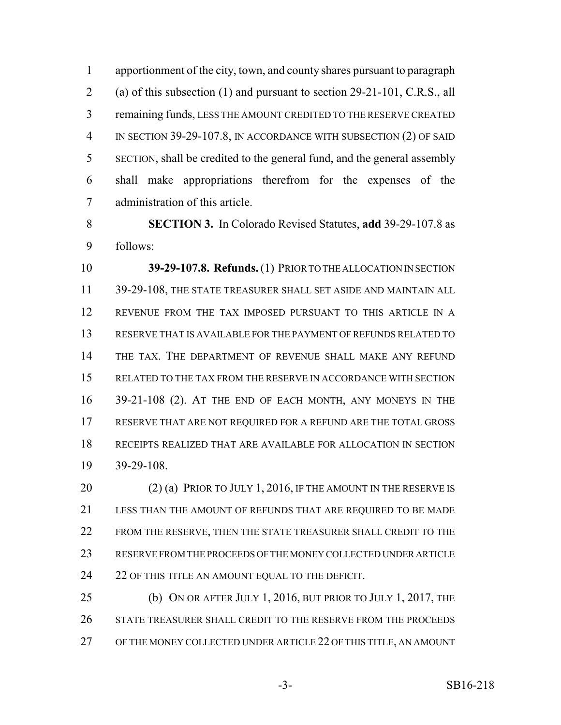apportionment of the city, town, and county shares pursuant to paragraph (a) of this subsection (1) and pursuant to section 29-21-101, C.R.S., all remaining funds, LESS THE AMOUNT CREDITED TO THE RESERVE CREATED IN SECTION 39-29-107.8, IN ACCORDANCE WITH SUBSECTION (2) OF SAID SECTION, shall be credited to the general fund, and the general assembly shall make appropriations therefrom for the expenses of the administration of this article.

 **SECTION 3.** In Colorado Revised Statutes, **add** 39-29-107.8 as follows:

**39-29-107.8. Refunds.** (1) PRIOR TO THE ALLOCATION IN SECTION 39-29-108, THE STATE TREASURER SHALL SET ASIDE AND MAINTAIN ALL REVENUE FROM THE TAX IMPOSED PURSUANT TO THIS ARTICLE IN A RESERVE THAT IS AVAILABLE FOR THE PAYMENT OF REFUNDS RELATED TO THE TAX. THE DEPARTMENT OF REVENUE SHALL MAKE ANY REFUND RELATED TO THE TAX FROM THE RESERVE IN ACCORDANCE WITH SECTION 39-21-108 (2). AT THE END OF EACH MONTH, ANY MONEYS IN THE RESERVE THAT ARE NOT REQUIRED FOR A REFUND ARE THE TOTAL GROSS RECEIPTS REALIZED THAT ARE AVAILABLE FOR ALLOCATION IN SECTION 39-29-108.

20 (2) (a) PRIOR TO JULY 1, 2016, IF THE AMOUNT IN THE RESERVE IS LESS THAN THE AMOUNT OF REFUNDS THAT ARE REQUIRED TO BE MADE FROM THE RESERVE, THEN THE STATE TREASURER SHALL CREDIT TO THE RESERVE FROM THE PROCEEDS OF THE MONEY COLLECTED UNDER ARTICLE 24 22 OF THIS TITLE AN AMOUNT EQUAL TO THE DEFICIT.

 (b) ON OR AFTER JULY 1, 2016, BUT PRIOR TO JULY 1, 2017, THE STATE TREASURER SHALL CREDIT TO THE RESERVE FROM THE PROCEEDS OF THE MONEY COLLECTED UNDER ARTICLE 22 OF THIS TITLE, AN AMOUNT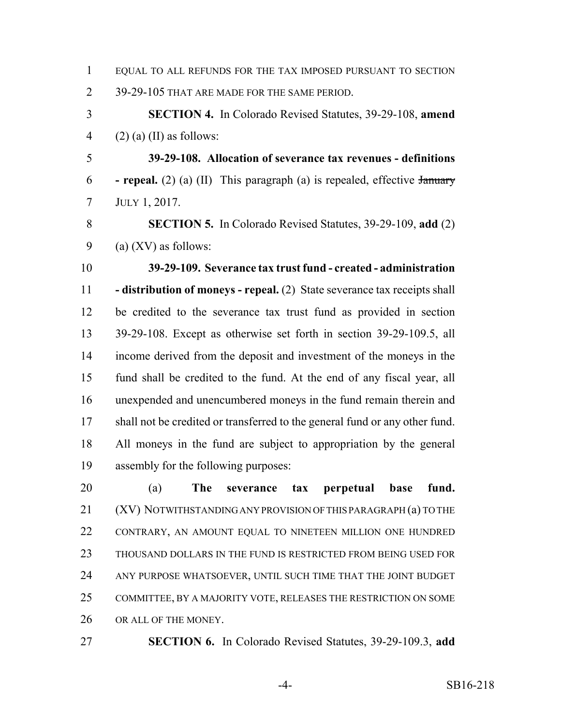| EQUAL TO ALL REFUNDS FOR THE TAX IMPOSED PURSUANT TO SECTION |
|--------------------------------------------------------------|
| 39-29-105 THAT ARE MADE FOR THE SAME PERIOD.                 |

 **SECTION 4.** In Colorado Revised Statutes, 39-29-108, **amend** 4 (2) (a) (II) as follows:

 **39-29-108. Allocation of severance tax revenues - definitions - repeal.** (2) (a) (II) This paragraph (a) is repealed, effective January JULY 1, 2017.

 **SECTION 5.** In Colorado Revised Statutes, 39-29-109, **add** (2) 9 (a)  $(XV)$  as follows:

 **39-29-109. Severance tax trust fund - created - administration - distribution of moneys - repeal.** (2) State severance tax receipts shall be credited to the severance tax trust fund as provided in section 39-29-108. Except as otherwise set forth in section 39-29-109.5, all income derived from the deposit and investment of the moneys in the fund shall be credited to the fund. At the end of any fiscal year, all unexpended and unencumbered moneys in the fund remain therein and shall not be credited or transferred to the general fund or any other fund. All moneys in the fund are subject to appropriation by the general assembly for the following purposes:

 (a) **The severance tax perpetual base fund.** (XV) NOTWITHSTANDING ANY PROVISION OF THIS PARAGRAPH (a) TO THE CONTRARY, AN AMOUNT EQUAL TO NINETEEN MILLION ONE HUNDRED THOUSAND DOLLARS IN THE FUND IS RESTRICTED FROM BEING USED FOR ANY PURPOSE WHATSOEVER, UNTIL SUCH TIME THAT THE JOINT BUDGET COMMITTEE, BY A MAJORITY VOTE, RELEASES THE RESTRICTION ON SOME 26 OR ALL OF THE MONEY.

**SECTION 6.** In Colorado Revised Statutes, 39-29-109.3, **add**